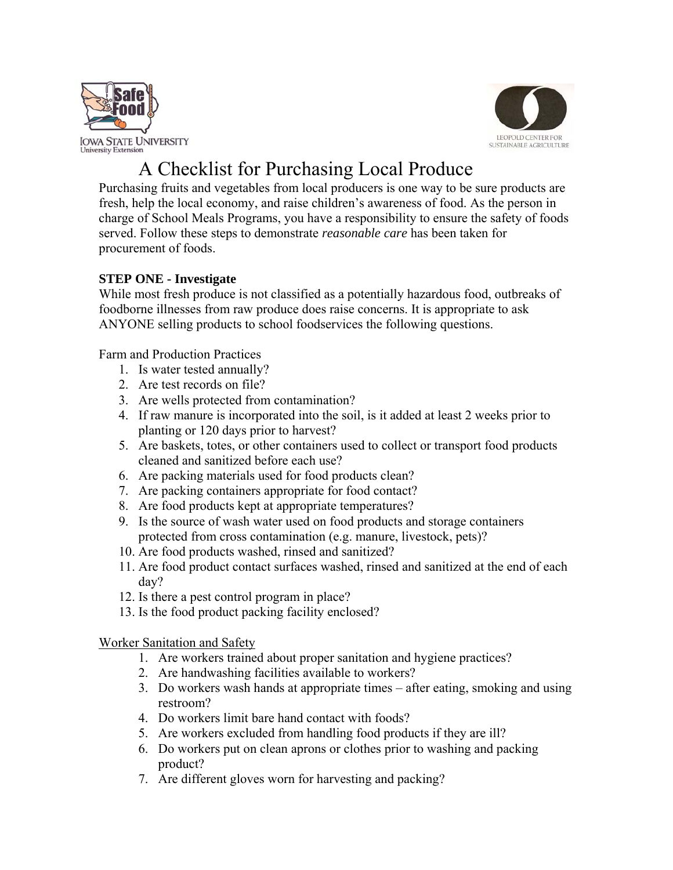



## A Checklist for Purchasing Local Produce

Purchasing fruits and vegetables from local producers is one way to be sure products are fresh, help the local economy, and raise children's awareness of food. As the person in charge of School Meals Programs, you have a responsibility to ensure the safety of foods served. Follow these steps to demonstrate *reasonable care* has been taken for procurement of foods.

## **STEP ONE - Investigate**

While most fresh produce is not classified as a potentially hazardous food, outbreaks of foodborne illnesses from raw produce does raise concerns. It is appropriate to ask ANYONE selling products to school foodservices the following questions.

Farm and Production Practices

- 1. Is water tested annually?
- 2. Are test records on file?
- 3. Are wells protected from contamination?
- 4. If raw manure is incorporated into the soil, is it added at least 2 weeks prior to planting or 120 days prior to harvest?
- 5. Are baskets, totes, or other containers used to collect or transport food products cleaned and sanitized before each use?
- 6. Are packing materials used for food products clean?
- 7. Are packing containers appropriate for food contact?
- 8. Are food products kept at appropriate temperatures?
- 9. Is the source of wash water used on food products and storage containers protected from cross contamination (e.g. manure, livestock, pets)?
- 10. Are food products washed, rinsed and sanitized?
- 11. Are food product contact surfaces washed, rinsed and sanitized at the end of each day?
- 12. Is there a pest control program in place?
- 13. Is the food product packing facility enclosed?

Worker Sanitation and Safety

- 1. Are workers trained about proper sanitation and hygiene practices?
- 2. Are handwashing facilities available to workers?
- 3. Do workers wash hands at appropriate times after eating, smoking and using restroom?
- 4. Do workers limit bare hand contact with foods?
- 5. Are workers excluded from handling food products if they are ill?
- 6. Do workers put on clean aprons or clothes prior to washing and packing product?
- 7. Are different gloves worn for harvesting and packing?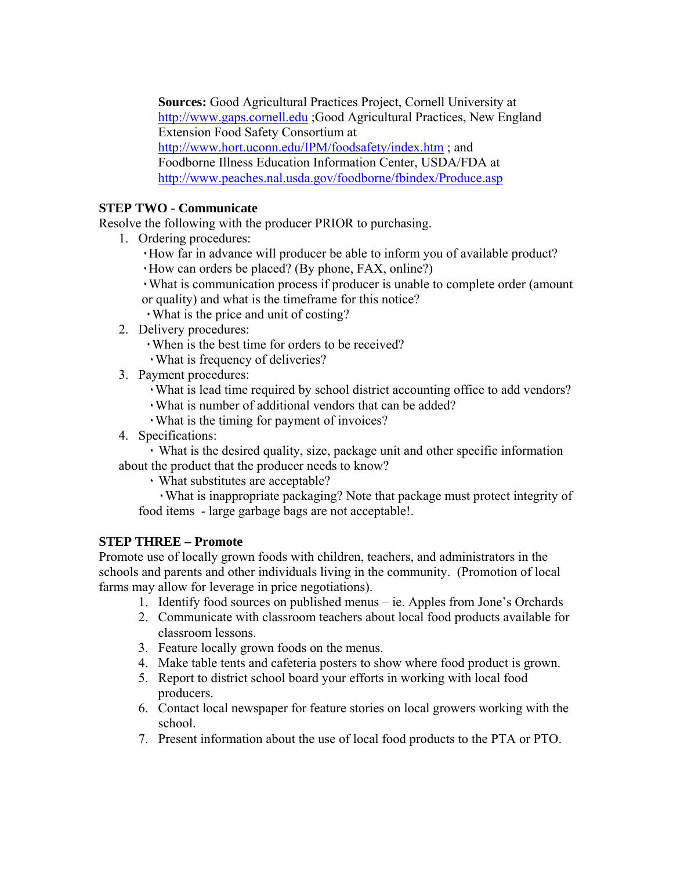**Sources:** Good Agricultural Practices Project, Cornell University at http://www.gaps.cornell.edu ;Good Agricultural Practices, New England Extension Food Safety Consortium at http://www.hort.uconn.edu/IPM/foodsafety/index.htm ; and Foodborne Illness Education Information Center, USDA/FDA at http://www.peaches.nal.usda.gov/foodborne/fbindex/Produce.asp

## **STEP TWO - Communicate**

Resolve the following with the producer PRIOR to purchasing.

- 1. Ordering procedures:
	- ٠How far in advance will producer be able to inform you of available product?
	- ٠How can orders be placed? (By phone, FAX, online?)
	- ٠What is communication process if producer is unable to complete order (amount or quality) and what is the timeframe for this notice?
	- ٠What is the price and unit of costing?
- 2. Delivery procedures:
	- ٠When is the best time for orders to be received?
	- ٠What is frequency of deliveries?
- 3. Payment procedures:
	- ٠What is lead time required by school district accounting office to add vendors?
	- ٠What is number of additional vendors that can be added?
	- ٠What is the timing for payment of invoices?
- 4. Specifications:

٠ What is the desired quality, size, package unit and other specific information about the product that the producer needs to know?

٠ What substitutes are acceptable?

٠What is inappropriate packaging? Note that package must protect integrity of food items - large garbage bags are not acceptable!.

## **STEP THREE – Promote**

Promote use of locally grown foods with children, teachers, and administrators in the schools and parents and other individuals living in the community. (Promotion of local farms may allow for leverage in price negotiations).

- 1. Identify food sources on published menus ie. Apples from Jone's Orchards
- 2. Communicate with classroom teachers about local food products available for classroom lessons.
- 3. Feature locally grown foods on the menus.
- 4. Make table tents and cafeteria posters to show where food product is grown.
- 5. Report to district school board your efforts in working with local food producers.
- 6. Contact local newspaper for feature stories on local growers working with the school.
- 7. Present information about the use of local food products to the PTA or PTO.